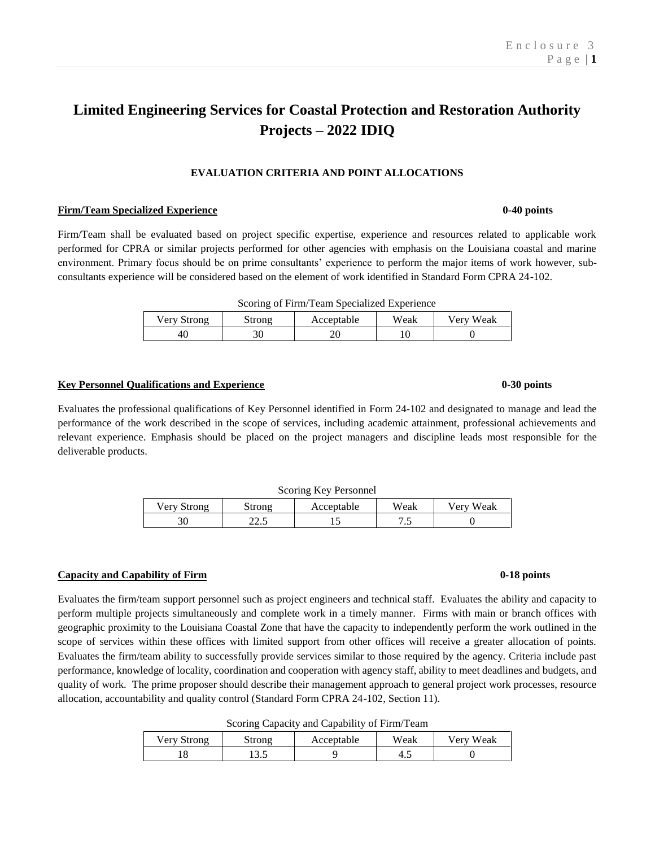# **Limited Engineering Services for Coastal Protection and Restoration Authority Projects – 2022 IDIQ**

# **EVALUATION CRITERIA AND POINT ALLOCATIONS**

### **Firm/Team Specialized Experience 0-40 points**

Firm/Team shall be evaluated based on project specific expertise, experience and resources related to applicable work performed for CPRA or similar projects performed for other agencies with emphasis on the Louisiana coastal and marine environment. Primary focus should be on prime consultants' experience to perform the major items of work however, subconsultants experience will be considered based on the element of work identified in Standard Form CPRA 24-102.

|  |  | Scoring of Firm/Team Specialized Experience |
|--|--|---------------------------------------------|
|  |  |                                             |

| $\sqrt{e}$ rv<br>$tr_{\Omega}$ no<br>. | Acceptable | Weak | Weak<br>$\sqrt{\text{er}}$ |
|----------------------------------------|------------|------|----------------------------|
| 40                                     | 77         |      |                            |

### **Key Personnel Qualifications and Experience 0-30 points**

Evaluates the professional qualifications of Key Personnel identified in Form 24-102 and designated to manage and lead the performance of the work described in the scope of services, including academic attainment, professional achievements and relevant experience. Emphasis should be placed on the project managers and discipline leads most responsible for the deliverable products.

| Scoring Key Personnel |        |            |      |           |
|-----------------------|--------|------------|------|-----------|
| Very Strong           | Strong | Acceptable | Weak | Verv Weak |
|                       | 44.0   |            |      |           |

### **Capacity and Capability of Firm 6-18 points** 6-18 **points** 6-18 **points**

Evaluates the firm/team support personnel such as project engineers and technical staff. Evaluates the ability and capacity to perform multiple projects simultaneously and complete work in a timely manner. Firms with main or branch offices with geographic proximity to the Louisiana Coastal Zone that have the capacity to independently perform the work outlined in the scope of services within these offices with limited support from other offices will receive a greater allocation of points. Evaluates the firm/team ability to successfully provide services similar to those required by the agency. Criteria include past performance, knowledge of locality, coordination and cooperation with agency staff, ability to meet deadlines and budgets, and quality of work. The prime proposer should describe their management approach to general project work processes, resource allocation, accountability and quality control (Standard Form CPRA 24-102, Section 11).

Scoring Capacity and Capability of Firm/Team

| Verv Strong | strong | Acceptable | Weak | Very Weak |  |
|-------------|--------|------------|------|-----------|--|
|             | ن د ک  |            | +.֊  |           |  |